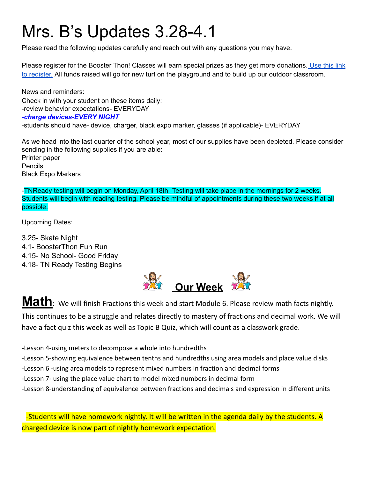## Mrs. B's Updates 3.28-4.1

Please read the following updates carefully and reach out with any questions you may have.

Please register for the Booster Thon! Classes will earn special prizes as they get more donations. [Use](https://docs.google.com/document/d/1vHN9OGUPExHnP5wmK5gBZlgtWtBFG45SCJK7MbDZwZM/edit?usp=sharing) this link to [register.](https://docs.google.com/document/d/1vHN9OGUPExHnP5wmK5gBZlgtWtBFG45SCJK7MbDZwZM/edit?usp=sharing) All funds raised will go for new turf on the playground and to build up our outdoor classroom.

News and reminders: Check in with your student on these items daily: -review behavior expectations- EVERYDAY *-charge devices-EVERY NIGHT* -students should have- device, charger, black expo marker, glasses (if applicable)- EVERYDAY

As we head into the last quarter of the school year, most of our supplies have been depleted. Please consider sending in the following supplies if you are able: Printer paper Pencils Black Expo Markers

-TNReady testing will begin on Monday, April 18th. Testing will take place in the mornings for 2 weeks. Students will begin with reading testing. Please be mindful of appointments during these two weeks if at all possible.

Upcoming Dates:

3.25- Skate Night 4.1- BoosterThon Fun Run 4.15- No School- Good Friday 4.18- TN Ready Testing Begins



**Math**: We will finish Fractions this week and start Module 6. Please review math facts nightly. This continues to be a struggle and relates directly to mastery of fractions and decimal work. We will have a fact quiz this week as well as Topic B Quiz, which will count as a classwork grade.

-Lesson 4-using meters to decompose a whole into hundredths

-Lesson 5-showing equivalence between tenths and hundredths using area models and place value disks

- -Lesson 6 -using area models to represent mixed numbers in fraction and decimal forms
- -Lesson 7- using the place value chart to model mixed numbers in decimal form
- -Lesson 8-understanding of equivalence between fractions and decimals and expression in different units

-Students will have homework nightly. It will be written in the agenda daily by the students. A charged device is now part of nightly homework expectation.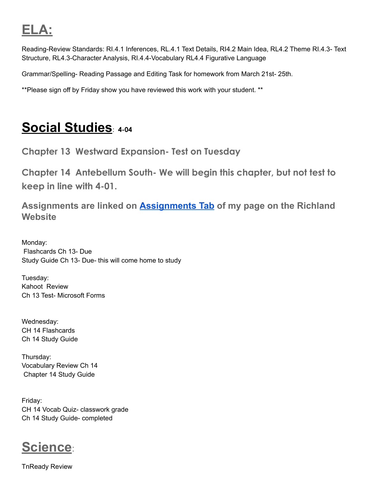## **ELA:**

Reading-Review Standards: RI.4.1 Inferences, RL.4.1 Text Details, RI4.2 Main Idea, RL4.2 Theme RI.4.3- Text Structure, RL4.3-Character Analysis, RI.4.4-Vocabulary RL4.4 Figurative Language

Grammar/Spelling- Reading Passage and Editing Task for homework from March 21st- 25th.

\*\*Please sign off by Friday show you have reviewed this work with your student. \*\*

## **Social Studies**: **4-04**

**Chapter 13 Westward Expansion- Test on Tuesday**

**Chapter 14 Antebellum South- We will begin this chapter, but not test to keep in line with 4-01.**

**Assignments are linked on [Assignments Tab](https://schools.scsk12.org/Page/14428) of my page on the Richland Website**

Monday: Flashcards Ch 13- Due Study Guide Ch 13- Due- this will come home to study

Tuesday: Kahoot Review Ch 13 Test- Microsoft Forms

Wednesday: CH 14 Flashcards Ch 14 Study Guide

Thursday: Vocabulary Review Ch 14 Chapter 14 Study Guide

Friday: CH 14 Vocab Quiz- classwork grade Ch 14 Study Guide- completed



TnReady Review